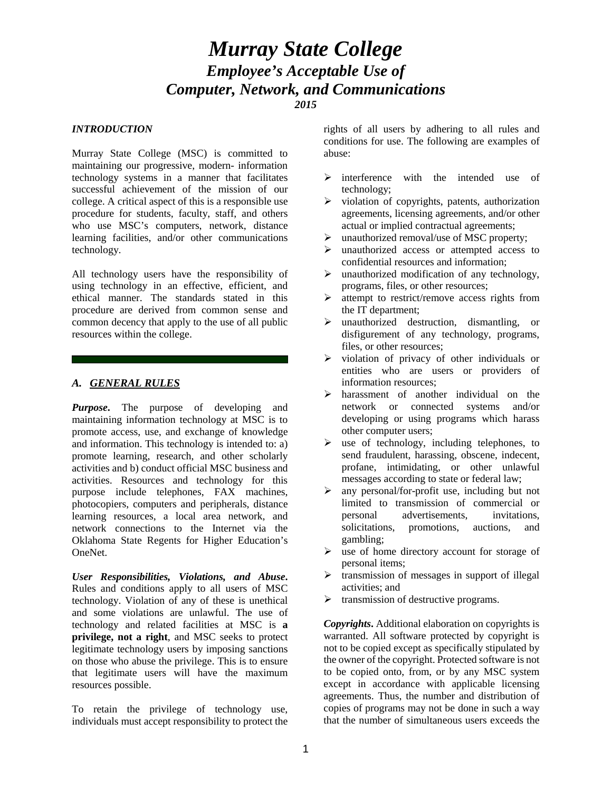# *Murray State College Employee's Acceptable Use of Computer, Network, and Communications 2015*

#### *INTRODUCTION*

Murray State College (MSC) is committed to maintaining our progressive, modern- information technology systems in a manner that facilitates successful achievement of the mission of our college. A critical aspect of this is a responsible use procedure for students, faculty, staff, and others who use MSC's computers, network, distance learning facilities, and/or other communications technology.

All technology users have the responsibility of using technology in an effective, efficient, and ethical manner. The standards stated in this procedure are derived from common sense and common decency that apply to the use of all public resources within the college.

### *A. GENERAL RULES*

*Purpose*. The purpose of developing and maintaining information technology at MSC is to promote access, use, and exchange of knowledge and information. This technology is intended to: a) promote learning, research, and other scholarly activities and b) conduct official MSC business and activities. Resources and technology for this purpose include telephones, FAX machines, photocopiers, computers and peripherals, distance learning resources, a local area network, and network connections to the Internet via the Oklahoma State Regents for Higher Education's OneNet.

*User Responsibilities, Violations, and Abuse***.** Rules and conditions apply to all users of MSC technology. Violation of any of these is unethical and some violations are unlawful. The use of technology and related facilities at MSC is **a privilege, not a right**, and MSC seeks to protect legitimate technology users by imposing sanctions on those who abuse the privilege. This is to ensure that legitimate users will have the maximum resources possible.

To retain the privilege of technology use, individuals must accept responsibility to protect the rights of all users by adhering to all rules and conditions for use. The following are examples of abuse:

- $\triangleright$  interference with the intended use of technology;
- $\triangleright$  violation of copyrights, patents, authorization agreements, licensing agreements, and/or other actual or implied contractual agreements;
- $\triangleright$  unauthorized removal/use of MSC property:
- $\triangleright$  unauthorized access or attempted access to confidential resources and information;
- $\triangleright$  unauthorized modification of any technology, programs, files, or other resources;
- $\triangleright$  attempt to restrict/remove access rights from the IT department;
- $\triangleright$  unauthorized destruction, dismantling, or disfigurement of any technology, programs, files, or other resources;
- $\triangleright$  violation of privacy of other individuals or entities who are users or providers of information resources;
- harassment of another individual on the network or connected systems and/or developing or using programs which harass other computer users;
- $\triangleright$  use of technology, including telephones, to send fraudulent, harassing, obscene, indecent, profane, intimidating, or other unlawful messages according to state or federal law;
- $\triangleright$  any personal/for-profit use, including but not limited to transmission of commercial or personal advertisements, invitations, solicitations, promotions, auctions, and gambling;
- $\triangleright$  use of home directory account for storage of personal items;
- $\triangleright$  transmission of messages in support of illegal activities; and
- $\triangleright$  transmission of destructive programs.

*Copyrights***.** Additional elaboration on copyrights is warranted. All software protected by copyright is not to be copied except as specifically stipulated by the owner of the copyright. Protected software is not to be copied onto, from, or by any MSC system except in accordance with applicable licensing agreements. Thus, the number and distribution of copies of programs may not be done in such a way that the number of simultaneous users exceeds the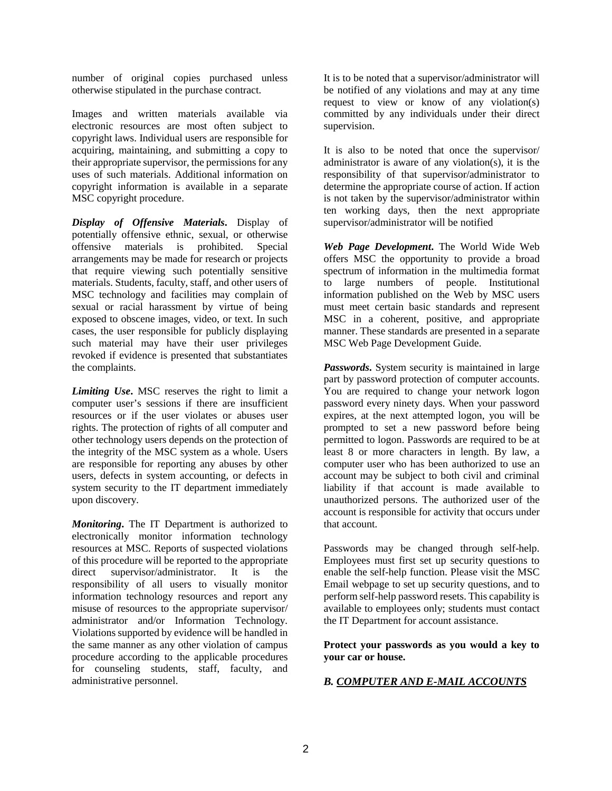number of original copies purchased unless otherwise stipulated in the purchase contract.

Images and written materials available via electronic resources are most often subject to copyright laws. Individual users are responsible for acquiring, maintaining, and submitting a copy to their appropriate supervisor, the permissions for any uses of such materials. Additional information on copyright information is available in a separate MSC copyright procedure.

*Display of Offensive Materials***.** Display of potentially offensive ethnic, sexual, or otherwise offensive materials is prohibited. Special arrangements may be made for research or projects that require viewing such potentially sensitive materials. Students, faculty, staff, and other users of MSC technology and facilities may complain of sexual or racial harassment by virtue of being exposed to obscene images, video, or text. In such cases, the user responsible for publicly displaying such material may have their user privileges revoked if evidence is presented that substantiates the complaints.

*Limiting Use***.** MSC reserves the right to limit a computer user's sessions if there are insufficient resources or if the user violates or abuses user rights. The protection of rights of all computer and other technology users depends on the protection of the integrity of the MSC system as a whole. Users are responsible for reporting any abuses by other users, defects in system accounting, or defects in system security to the IT department immediately upon discovery.

*Monitoring***.** The IT Department is authorized to electronically monitor information technology resources at MSC. Reports of suspected violations of this procedure will be reported to the appropriate direct supervisor/administrator. It is the responsibility of all users to visually monitor information technology resources and report any misuse of resources to the appropriate supervisor/ administrator and/or Information Technology. Violations supported by evidence will be handled in the same manner as any other violation of campus procedure according to the applicable procedures for counseling students, staff, faculty, and administrative personnel.

It is to be noted that a supervisor/administrator will be notified of any violations and may at any time request to view or know of any violation(s) committed by any individuals under their direct supervision.

It is also to be noted that once the supervisor/ administrator is aware of any violation(s), it is the responsibility of that supervisor/administrator to determine the appropriate course of action. If action is not taken by the supervisor/administrator within ten working days, then the next appropriate supervisor/administrator will be notified

*Web Page Development***.** The World Wide Web offers MSC the opportunity to provide a broad spectrum of information in the multimedia format to large numbers of people. Institutional information published on the Web by MSC users must meet certain basic standards and represent MSC in a coherent, positive, and appropriate manner. These standards are presented in a separate MSC Web Page Development Guide.

*Passwords***.** System security is maintained in large part by password protection of computer accounts. You are required to change your network logon password every ninety days. When your password expires, at the next attempted logon, you will be prompted to set a new password before being permitted to logon. Passwords are required to be at least 8 or more characters in length. By law, a computer user who has been authorized to use an account may be subject to both civil and criminal liability if that account is made available to unauthorized persons. The authorized user of the account is responsible for activity that occurs under that account.

Passwords may be changed through self-help. Employees must first set up security questions to enable the self-help function. Please visit the MSC Email webpage to set up security questions, and to perform self-help password resets. This capability is available to employees only; students must contact the IT Department for account assistance.

#### **Protect your passwords as you would a key to your car or house.**

## *B. COMPUTER AND E-MAIL ACCOUNTS*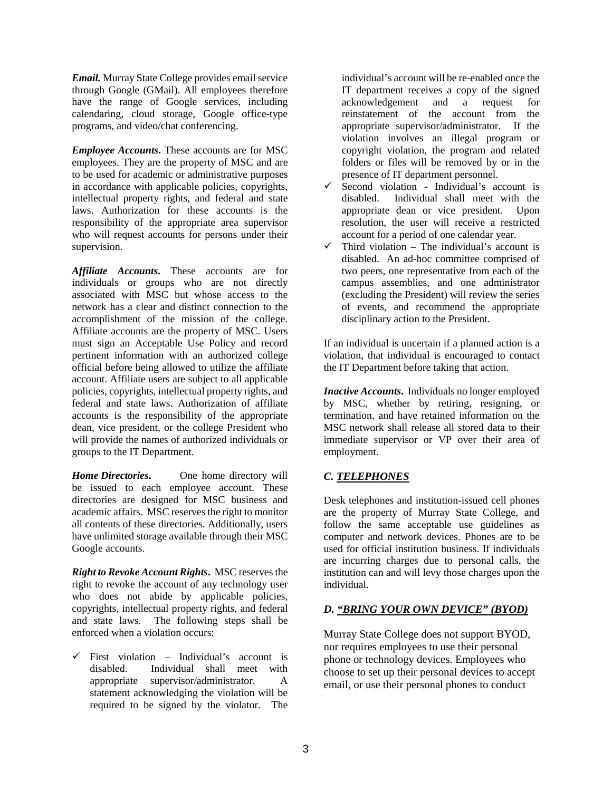*Email.* Murray State College provides email service through Google (GMail). All employees therefore have the range of Google services, including calendaring, cloud storage, Google office-type programs, and video/chat conferencing.

*Employee Accounts***.** These accounts are for MSC employees. They are the property of MSC and are to be used for academic or administrative purposes in accordance with applicable policies, copyrights, intellectual property rights, and federal and state laws. Authorization for these accounts is the responsibility of the appropriate area supervisor who will request accounts for persons under their supervision.

*Affiliate Accounts***.** These accounts are for individuals or groups who are not directly associated with MSC but whose access to the network has a clear and distinct connection to the accomplishment of the mission of the college. Affiliate accounts are the property of MSC. Users must sign an Acceptable Use Policy and record pertinent information with an authorized college official before being allowed to utilize the affiliate account. Affiliate users are subject to all applicable policies, copyrights, intellectual property rights, and federal and state laws. Authorization of affiliate accounts is the responsibility of the appropriate dean, vice president, or the college President who will provide the names of authorized individuals or groups to the IT Department.

*Home Directories***.** One home directory will be issued to each employee account. These directories are designed for MSC business and academic affairs. MSC reserves the right to monitor all contents of these directories. Additionally, users have unlimited storage available through their MSC Google accounts.

*Right to Revoke Account Rights***.** MSC reserves the right to revoke the account of any technology user who does not abide by applicable policies, copyrights, intellectual property rights, and federal and state laws. The following steps shall be enforced when a violation occurs:

 $\checkmark$  First violation – Individual's account is disabled. Individual shall meet with appropriate supervisor/administrator. A statement acknowledging the violation will be required to be signed by the violator. The

individual's account will be re-enabled once the IT department receives a copy of the signed<br>acknowledgement and a request for acknowledgement and a request for reinstatement of the account from the appropriate supervisor/administrator. If the violation involves an illegal program or copyright violation, the program and related folders or files will be removed by or in the presence of IT department personnel.

- $\checkmark$  Second violation Individual's account is disabled. Individual shall meet with the appropriate dean or vice president. Upon resolution, the user will receive a restricted account for a period of one calendar year.
- $\checkmark$  Third violation The individual's account is disabled. An ad-hoc committee comprised of two peers, one representative from each of the campus assemblies, and one administrator (excluding the President) will review the series of events, and recommend the appropriate disciplinary action to the President.

If an individual is uncertain if a planned action is a violation, that individual is encouraged to contact the IT Department before taking that action.

*Inactive Accounts***.** Individuals no longer employed by MSC, whether by retiring, resigning, or termination, and have retained information on the MSC network shall release all stored data to their immediate supervisor or VP over their area of employment.

# *C. TELEPHONES*

Desk telephones and institution-issued cell phones are the property of Murray State College, and follow the same acceptable use guidelines as computer and network devices. Phones are to be used for official institution business. If individuals are incurring charges due to personal calls, the institution can and will levy those charges upon the individual.

## *D. "BRING YOUR OWN DEVICE" (BYOD)*

Murray State College does not support BYOD, nor requires employees to use their personal phone or technology devices. Employees who choose to set up their personal devices to accept email, or use their personal phones to conduct